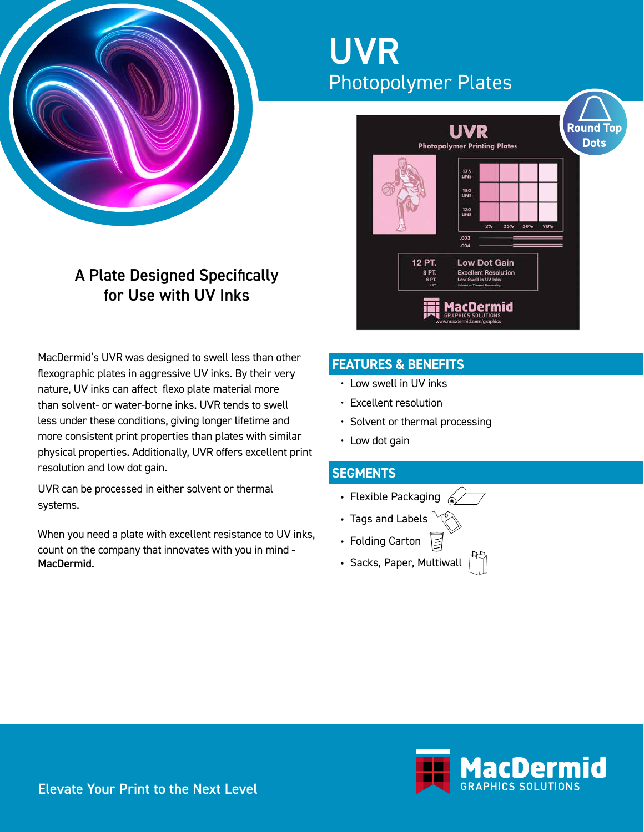

# A Plate Designed Specifically for Use with UV Inks

MacDermid's UVR was designed to swell less than other flexographic plates in aggressive UV inks. By their very nature, UV inks can affect flexo plate material more than solvent- or water-borne inks. UVR tends to swell less under these conditions, giving longer lifetime and more consistent print properties than plates with similar physical properties. Additionally, UVR offers excellent print resolution and low dot gain.

UVR can be processed in either solvent or thermal systems.

When you need a plate with excellent resistance to UV inks, count on the company that innovates with you in mind - MacDermid.

# UVR Photopolymer Plates



# **FEATURES & BENEFITS**

- Low swell in UV inks
- Excellent resolution
- Solvent or thermal processing
- Low dot gain

# **SEGMENTS**

- Flexible Packaging  $\mathbb{Z}$
- Tags and Labels
- Folding Carton
- Sacks, Paper, Multiwall